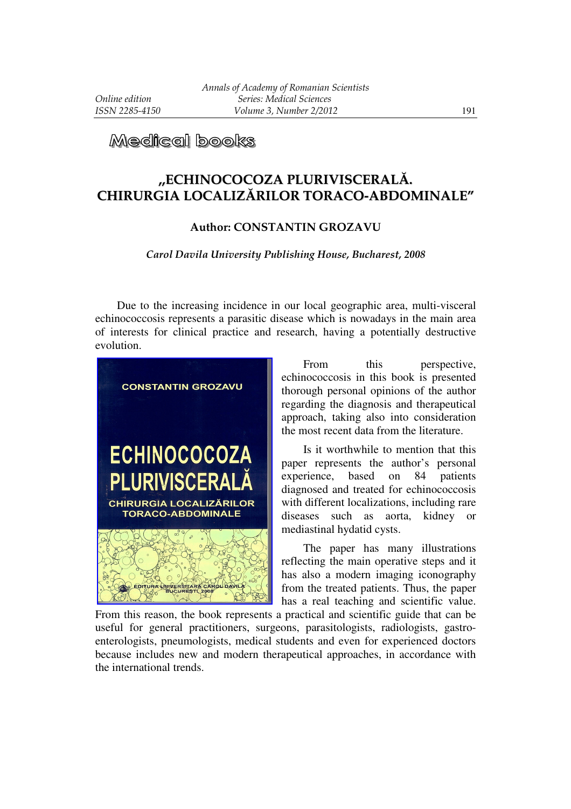## Medical books

## **,,ECHINOCOCOZA PLURIVISCERALĂ. CHIRURGIA LOCALIZĂRILOR TORACO-ABDOMINALE"**

## **Author: CONSTANTIN GROZAVU**

## *Carol Davila University Publishing House, Bucharest, 2008*

Due to the increasing incidence in our local geographic area, multi-visceral echinococcosis represents a parasitic disease which is nowadays in the main area of interests for clinical practice and research, having a potentially destructive evolution.



From this perspective, echinococcosis in this book is presented thorough personal opinions of the author regarding the diagnosis and therapeutical approach, taking also into consideration the most recent data from the literature.

Is it worthwhile to mention that this paper represents the author's personal experience, based on 84 patients diagnosed and treated for echinococcosis with different localizations, including rare diseases such as aorta, kidney or mediastinal hydatid cysts.

The paper has many illustrations reflecting the main operative steps and it has also a modern imaging iconography from the treated patients. Thus, the paper has a real teaching and scientific value.

From this reason, the book represents a practical and scientific guide that can be useful for general practitioners, surgeons, parasitologists, radiologists, gastroenterologists, pneumologists, medical students and even for experienced doctors because includes new and modern therapeutical approaches, in accordance with the international trends.